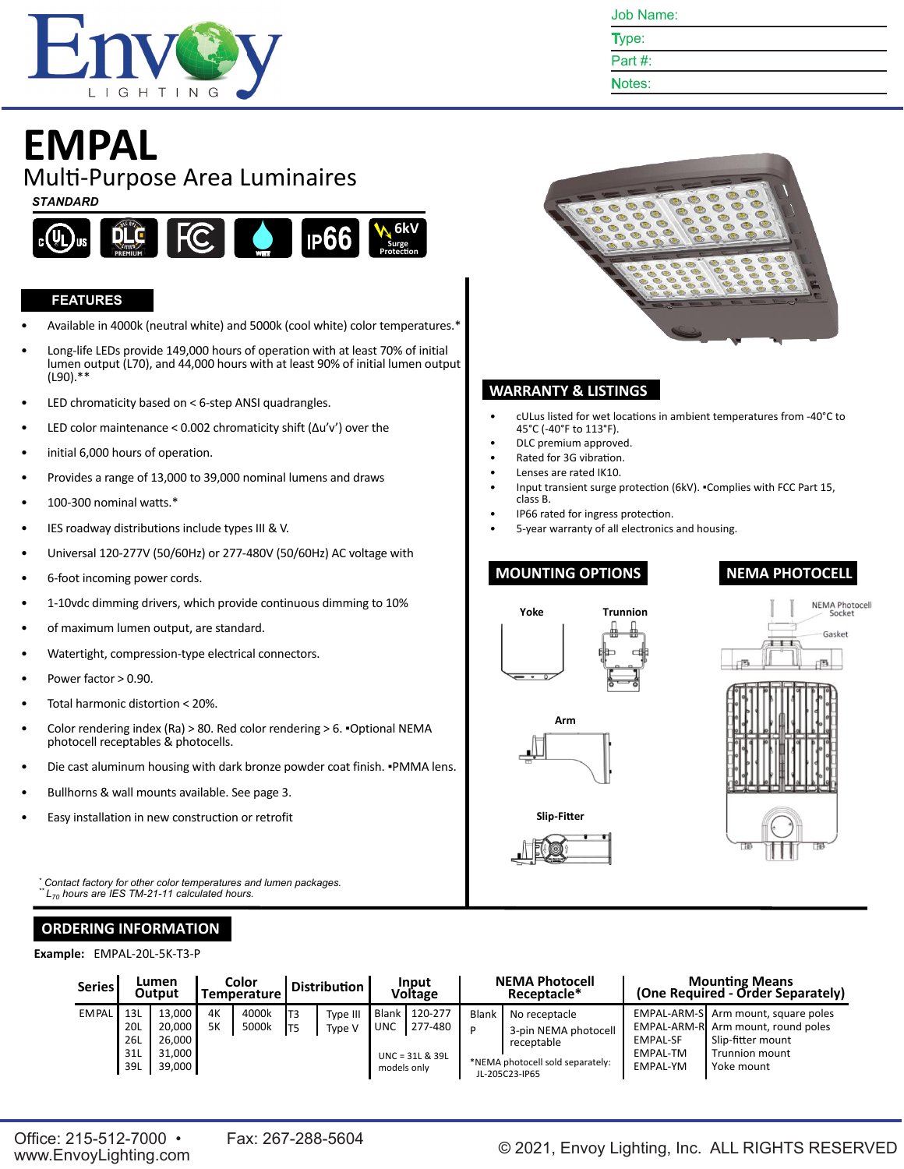

Type:

Part #: Notes:

# **EMPAL**

Mul�-Purpose Area Luminaires

#### *STANDARD*



#### **FEATURES**

- Available in 4000k (neutral white) and 5000k (cool white) color temperatures.\*
- Long-life LEDs provide 149,000 hours of operation with at least 70% of initial lumen output (L70), and 44,000 hours with at least 90% of initial lumen output (L90).\*\*
- LED chromaticity based on < 6-step ANSI quadrangles.
- LED color maintenance < 0.002 chromaticity shift (Δu'v') over the
- initial 6,000 hours of operation.
- Provides a range of 13,000 to 39,000 nominal lumens and draws
- 100-300 nominal watts.\*
- IES roadway distributions include types III & V.
- Universal 120-277V (50/60Hz) or 277-480V (50/60Hz) AC voltage with
- 6-foot incoming power cords.
- 1-10vdc dimming drivers, which provide continuous dimming to 10%
- of maximum lumen output, are standard.
- Watertight, compression-type electrical connectors.
- Power factor > 0.90.
- Total harmonic distortion < 20%.
- Color rendering index (Ra) > 80. Red color rendering > 6. ▪Optional NEMA photocell receptables & photocells.
- Die cast aluminum housing with dark bronze powder coat finish. . PMMA lens.
- Bullhorns & wall mounts available. See page 3.
- Easy installation in new construction or retrofit

*\* Contact factory for other color temperatures and lumen packages. \*\* L<sup>70</sup> hours are IES TM-21-11 calculated hours.*

## **ORDERING INFORMATION**

**Example:** EMPAL-20L-5K-T3-P

| <b>Series</b> |                                 | Lumen<br>Output                                |                 | Color<br>Temperature |            | <b>Distribution</b> |                                           | Input<br><b>Voltage</b>                 |            | <b>NEMA Photocell</b><br>Receptacle*                                                                      |                                                | <b>Mounting Means</b><br>(One Required - Order Separately)                                                                            |
|---------------|---------------------------------|------------------------------------------------|-----------------|----------------------|------------|---------------------|-------------------------------------------|-----------------------------------------|------------|-----------------------------------------------------------------------------------------------------------|------------------------------------------------|---------------------------------------------------------------------------------------------------------------------------------------|
| <b>EMPAL</b>  | 13L<br>20L<br>26L<br>31L<br>39L | 13.000<br>20,000<br>26.000<br>31.000<br>39,000 | 4K<br><b>5K</b> | 4000k<br>5000k       | IT3<br>IT5 | Type III<br>Type V  | <b>Blank</b><br><b>UNC</b><br>models only | 120-277<br>277-480<br>$UNC = 31L & 39L$ | Blank<br>P | No receptacle<br>3-pin NEMA photocell<br>receptable<br>*NEMA photocell sold separately:<br>JL-205C23-IP65 | <b>EMPAL-SF</b><br>EMPAL-TM<br><b>EMPAL-YM</b> | EMPAL-ARM-S Arm mount, square poles<br>EMPAL-ARM-R Arm mount, round poles<br>Slip-fitter mount<br><b>Trunnion mount</b><br>Yoke mount |





### **WARRANTY & LISTINGS**

- cULus listed for wet locations in ambient temperatures from -40°C to 45°C (-40°F to 113°F).
- DLC premium approved.
- Rated for 3G vibration.
- Lenses are rated IK10.
- Input transient surge protection (6kV). . Complies with FCC Part 15, class B.
- IP66 rated for ingress protection.
- 5-year warranty of all electronics and housing.

### **MOUNTING OPTIONS**

#### **NEMA PHOTOCELL**

NEMA Photocell<br>Socket Gasket





**Slip-Fi�er**

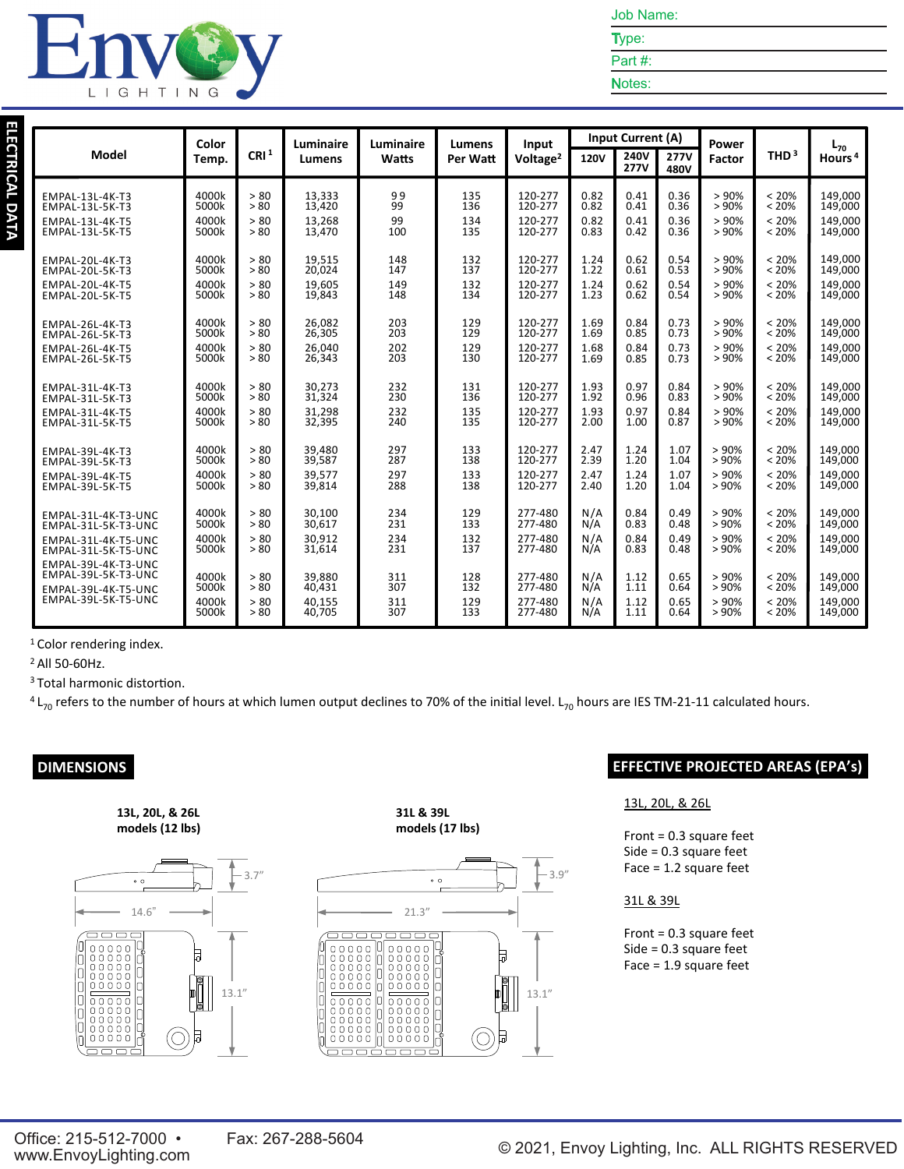

Type: Part #:

Notes:

|                     | Color |                  | Luminaire     | Luminaire<br>Lumens | Input    | <b>Input Current (A)</b> |             | Power               |                     | $L_{70}$ |          |                    |
|---------------------|-------|------------------|---------------|---------------------|----------|--------------------------|-------------|---------------------|---------------------|----------|----------|--------------------|
| Model               | Temp. | CRI <sup>1</sup> | <b>Lumens</b> | Watts               | Per Watt | Voltage <sup>2</sup>     | <b>120V</b> | 240V<br><b>277V</b> | <b>277V</b><br>480V | Factor   | THD $3$  | Hours <sup>4</sup> |
| EMPAL-13L-4K-T3     | 4000k | > 80             | 13,333        | 99                  | 135      | 120-277                  | 0.82        | 0.41                | 0.36                | > 90%    | < 20%    | 149.000            |
| EMPAL-13L-5K-T3     | 5000k | > 80             | 13,420        | 99                  | 136      | 120-277                  | 0.82        | 0.41                | 0.36                | > 90%    | < 20%    | 149,000            |
| EMPAL-13L-4K-T5     | 4000k | > 80             | 13,268        | 99                  | 134      | 120-277                  | 0.82        | 0.41                | 0.36                | > 90%    | < 20%    | 149.000            |
| EMPAL-13L-5K-T5     | 5000k | > 80             | 13.470        | 100                 | 135      | 120-277                  | 0.83        | 0.42                | 0.36                | > 90%    | < 20%    | 149,000            |
| EMPAL-20L-4K-T3     | 4000k | > 80             | 19.515        | 148                 | 132      | 120-277                  | 1.24        | 0.62                | 0.54                | > 90%    | < 20%    | 149.000            |
| EMPAL-20L-5K-T3     | 5000k | > 80             | 20,024        | 147                 | 137      | 120-277                  | 1.22        | 0.61                | 0.53                | > 90%    | < 20%    | 149,000            |
| EMPAL-20L-4K-T5     | 4000k | > 80             | 19,605        | 149                 | 132      | 120-277                  | 1.24        | 0.62                | 0.54                | > 90%    | < 20%    | 149.000            |
| EMPAL-20L-5K-T5     | 5000k | > 80             | 19,843        | 148                 | 134      | 120-277                  | 1.23        | 0.62                | 0.54                | > 90%    | < 20%    | 149,000            |
| EMPAL-26L-4K-T3     | 4000k | > 80             | 26.082        | 203                 | 129      | 120-277                  | 1.69        | 0.84                | 0.73                | > 90%    | < 20%    | 149,000            |
| EMPAL-26L-5K-T3     | 5000k | > 80             | 26,305        | 203                 | 129      | 120-277                  | 1.69        | 0.85                | 0.73                | > 90%    | < 20%    | 149,000            |
| EMPAL-26L-4K-T5     | 4000k | > 80             | 26,040        | 202                 | 129      | 120-277                  | 1.68        | 0.84                | 0.73                | > 90%    | < 20%    | 149,000            |
| EMPAL-26L-5K-T5     | 5000k | > 80             | 26,343        | 203                 | 130      | 120-277                  | 1.69        | 0.85                | 0.73                | > 90%    | < 20%    | 149,000            |
| EMPAL-31L-4K-T3     | 4000k | > 80             | 30,273        | 232                 | 131      | 120-277                  | 1.93        | 0.97                | 0.84                | > 90%    | < 20%    | 149.000            |
| EMPAL-31L-5K-T3     | 5000k | > 80             | 31,324        | 230                 | 136      | 120-277                  | 1.92        | 0.96                | 0.83                | > 90%    | < 20%    | 149,000            |
| EMPAL-31L-4K-T5     | 4000k | > 80             | 31,298        | 232                 | 135      | 120-277                  | 1.93        | 0.97                | 0.84                | > 90%    | < 20%    | 149,000            |
| EMPAL-31L-5K-T5     | 5000k | > 80             | 32,395        | 240                 | 135      | 120-277                  | 2.00        | 1.00                | 0.87                | >90%     | < 20%    | 149,000            |
| EMPAL-39L-4K-T3     | 4000k | > 80             | 39.480        | 297                 | 133      | 120-277                  | 2.47        | 1.24                | 1.07                | > 90%    | < 20%    | 149.000            |
| EMPAL-39L-5K-T3     | 5000k | > 80             | 39,587        | 287                 | 138      | 120-277                  | 2.39        | 1.20                | 1.04                | > 90%    | < 20%    | 149,000            |
| EMPAL-39L-4K-T5     | 4000k | > 80             | 39,577        | 297                 | 133      | 120-277                  | 2.47        | 1.24                | 1.07                | > 90%    | < 20%    | 149,000            |
| EMPAL-39L-5K-T5     | 5000k | > 80             | 39.814        | 288                 | 138      | 120-277                  | 2.40        | 1.20                | 1.04                | >90%     | < 20%    | 149.000            |
| EMPAL-31L-4K-T3-UNC | 4000k | > 80             | 30.100        | 234                 | 129      | 277-480                  | N/A         | 0.84                | 0.49                | > 90%    | $< 20\%$ | 149.000            |
| EMPAL-31L-5K-T3-UNC | 5000k | > 80             | 30,617        | 231                 | 133      | 277-480                  | N/A         | 0.83                | 0.48                | > 90%    | < 20%    | 149,000            |
| EMPAL-31L-4K-T5-UNC | 4000k | > 80             | 30,912        | 234                 | 132      | 277-480                  | N/A         | 0.84                | 0.49                | > 90%    | < 20%    | 149.000            |
| EMPAL-31L-5K-T5-UNC | 5000k | > 80             | 31,614        | 231                 | 137      | 277-480                  | N/A         | 0.83                | 0.48                | > 90%    | < 20%    | 149,000            |
| EMPAL-39L-4K-T3-UNC | 4000k | > 80             | 39.880        | 311                 | 128      | 277-480                  | N/A         | 1.12                | 0.65                | > 90%    | < 20%    | 149.000            |
| EMPAL-39L-5K-T3-UNC | 5000k | > 80             | 40,431        | 307                 | 132      | 277-480                  | N/A         | 1.11                | 0.64                | > 90%    | < 20%    | 149,000            |
| EMPAL-39L-4K-T5-UNC | 4000k | > 80             | 40,155        | 311                 | 129      | 277-480                  | N/A         | 1.12                | 0.65                | > 90%    | < 20%    | 149.000            |
| EMPAL-39L-5K-T5-UNC | 5000k | > 80             | 40.705        | 307                 | 133      | 277-480                  | N/A         | 1.11                | 0.64                | > 90%    | < 20%    | 149,000            |

<sup>1</sup> Color rendering index.

<sup>2</sup> All 50-60Hz.

**ELECTRICAL DATA**

ELECTRICAL DATA

L

IGHTIN

G

<sup>3</sup> Total harmonic distortion.

 $4$  L<sub>70</sub> refers to the number of hours at which lumen output declines to 70% of the initial level. L<sub>70</sub> hours are IES TM-21-11 calculated hours.





**31L & 39L models (17 lbs)**



### **DIMENSIONS EFFECTIVE PROJECTED AREAS (EPA's)**

#### 13L, 20L, & 26L

Front = 0.3 square feet Side = 0.3 square feet Face = 1.2 square feet

#### 31L & 39L

Front = 0.3 square feet Side = 0.3 square feet Face = 1.9 square feet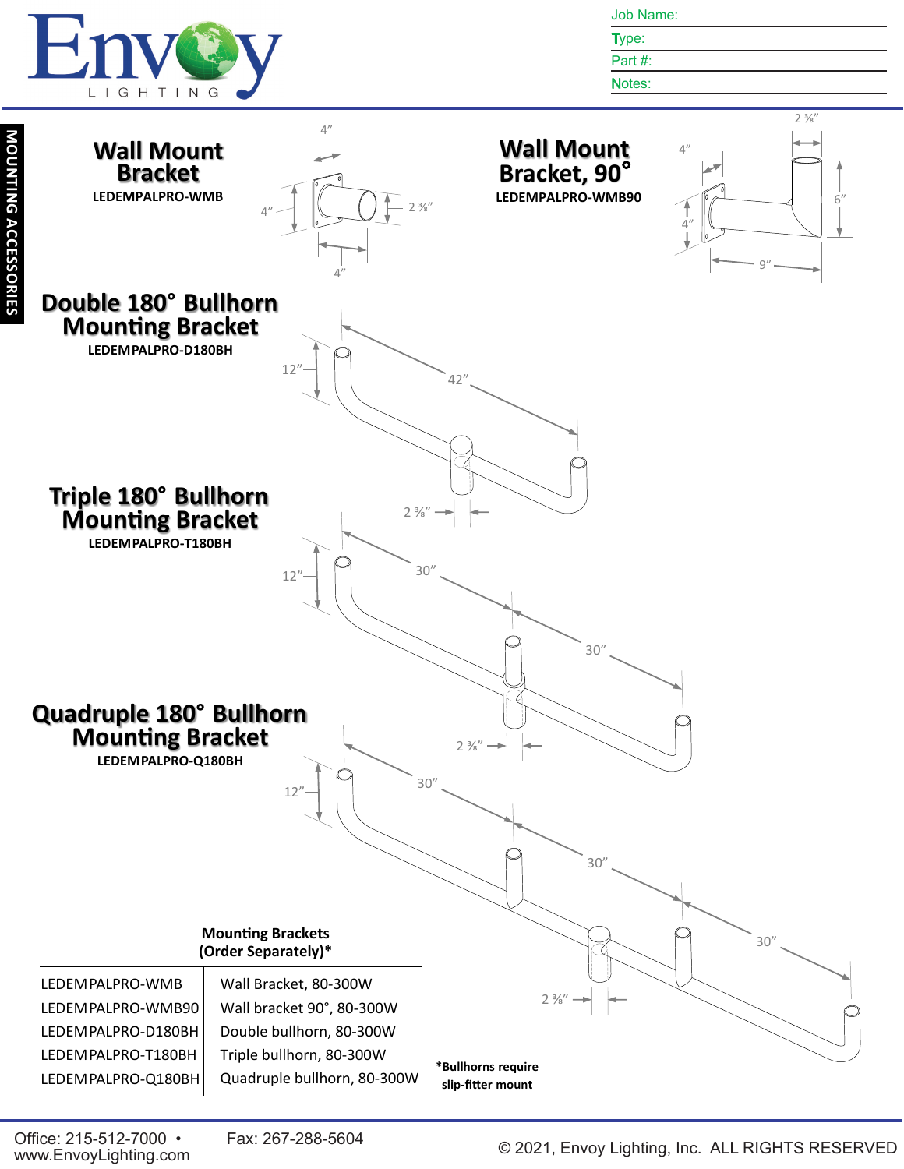

Type: Part #:

Notes:

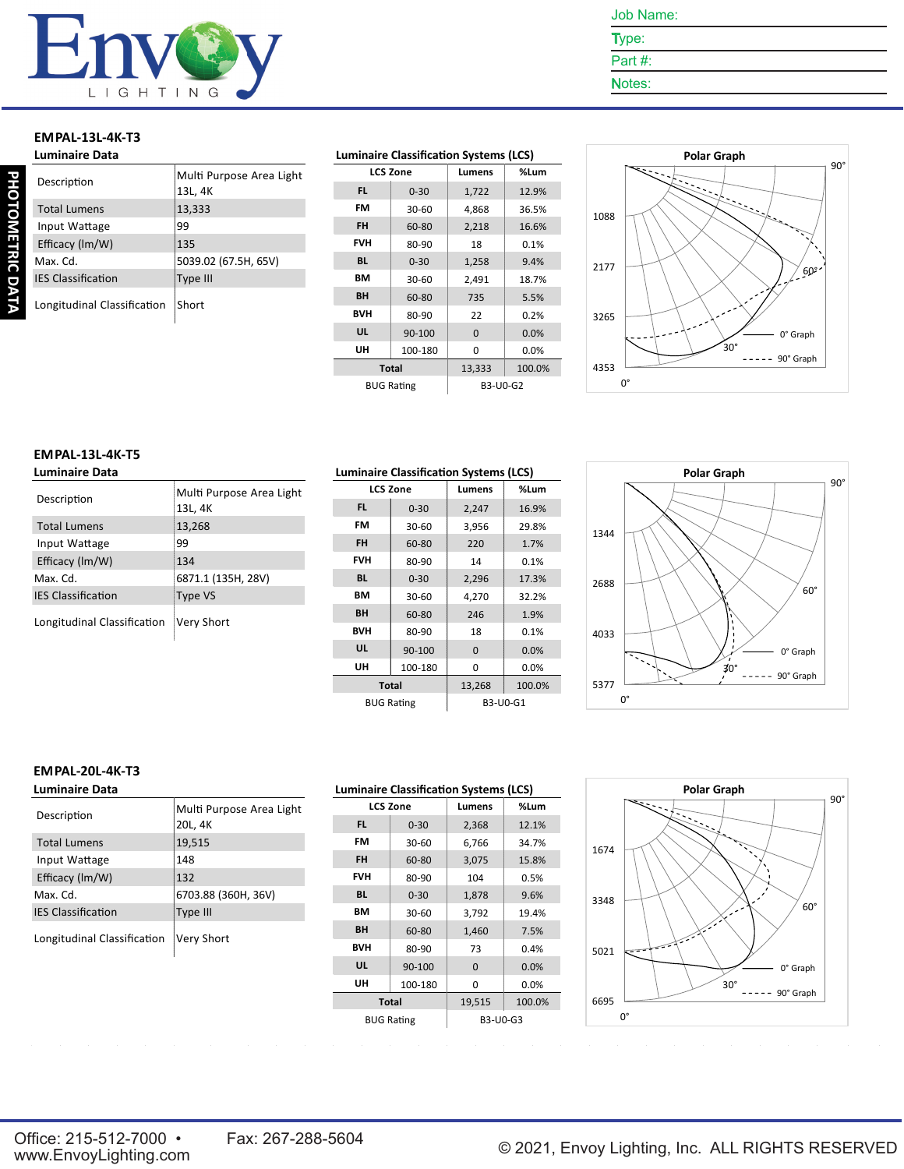

- Type: Part #:
- Notes:

# **EMPAL-13L-4K-T3**

|             | <b>Luminaire Data</b>       |                                     |  |  |
|-------------|-----------------------------|-------------------------------------|--|--|
| PHOTOMETRIC | Description                 | Multi Purpose Area Light<br>13L, 4K |  |  |
|             | <b>Total Lumens</b>         | 13,333                              |  |  |
|             | Input Wattage               | 99                                  |  |  |
|             | Efficacy (Im/W)             | 135                                 |  |  |
|             | Max. Cd.                    | 5039.02 (67.5H, 65V)                |  |  |
|             | <b>IES Classification</b>   | Type III                            |  |  |
| ΣÀ<br>ā     | Longitudinal Classification | Short                               |  |  |

#### **Luminaire Classification Systems (LCS)**

| <b>LCS Zone</b> |                   | Lumens   | %Lum   |
|-----------------|-------------------|----------|--------|
| FL.             | $0 - 30$          | 1,722    | 12.9%  |
| FM              | 30-60             | 4,868    | 36.5%  |
| <b>FH</b>       | 60-80             | 2,218    | 16.6%  |
| <b>FVH</b>      | 80-90             | 18       | 0.1%   |
| <b>BL</b>       | $0 - 30$          | 1,258    | 9.4%   |
| BМ              | 30-60             | 2,491    | 18.7%  |
| BH              | 60-80             | 735      | 5.5%   |
| <b>BVH</b>      | 80-90             | 22       | 0.2%   |
| UL              | 90-100            | $\Omega$ | 0.0%   |
| UH              | 100-180           | $\Omega$ | 0.0%   |
| <b>Total</b>    |                   | 13,333   | 100.0% |
|                 | <b>BUG Rating</b> | B3-U0-G2 |        |



#### **EMPAL-13L-4K-T5 Luminaire Data**

| Description                 | Multi Purpose Area Light<br>13L, 4K |
|-----------------------------|-------------------------------------|
| <b>Total Lumens</b>         | 13,268                              |
| Input Wattage               | 99                                  |
| Efficacy (Im/W)             | 134                                 |
| Max. Cd.                    | 6871.1 (135H, 28V)                  |
| <b>IES Classification</b>   | <b>Type VS</b>                      |
| Longitudinal Classification | Very Short                          |

| <b>Luminaire Classification Systems (LCS)</b> |                   |          |        |  |  |  |
|-----------------------------------------------|-------------------|----------|--------|--|--|--|
|                                               | <b>LCS Zone</b>   | Lumens   | %Lum   |  |  |  |
| FL.                                           | $0 - 30$          | 2,247    | 16.9%  |  |  |  |
| FM                                            | 30-60             | 3,956    | 29.8%  |  |  |  |
| <b>FH</b>                                     | 60-80             | 220      | 1.7%   |  |  |  |
| <b>FVH</b>                                    | 80-90             | 14       | 0.1%   |  |  |  |
| <b>BL</b>                                     | $0 - 30$          | 2,296    | 17.3%  |  |  |  |
| BМ                                            | 30-60             | 4,270    | 32.2%  |  |  |  |
| <b>BH</b>                                     | 60-80             | 246      | 1.9%   |  |  |  |
| <b>BVH</b>                                    | 80-90             | 18       | 0.1%   |  |  |  |
| UL                                            | 90-100            | $\Omega$ | 0.0%   |  |  |  |
| UH                                            | 100-180           | 0        | 0.0%   |  |  |  |
|                                               | <b>Total</b>      | 13,268   | 100.0% |  |  |  |
|                                               | <b>BUG Rating</b> | B3-U0-G1 |        |  |  |  |



#### **EMPAL-20L-4K-T3**

| <b>Luminaire Data</b>       |                                     |
|-----------------------------|-------------------------------------|
| Description                 | Multi Purpose Area Light<br>20L, 4K |
| <b>Total Lumens</b>         | 19,515                              |
| Input Wattage               | 148                                 |
| Efficacy (Im/W)             | 132                                 |
| Max. Cd.                    | 6703.88 (360H, 36V)                 |
| <b>IES Classification</b>   | Type III                            |
| Longitudinal Classification | Very Short                          |

| <b>Luminaire Classification Systems (LCS)</b> |                   |          |        |  |  |  |
|-----------------------------------------------|-------------------|----------|--------|--|--|--|
|                                               | <b>LCS Zone</b>   | Lumens   | %Lum   |  |  |  |
| FL.                                           | $0 - 30$          | 2,368    | 12.1%  |  |  |  |
| FM                                            | 30-60             | 6,766    | 34.7%  |  |  |  |
| <b>FH</b>                                     | 60-80             | 3,075    | 15.8%  |  |  |  |
| <b>FVH</b>                                    | 80-90             | 104      | 0.5%   |  |  |  |
| <b>BL</b>                                     | $0 - 30$          | 1,878    | 9.6%   |  |  |  |
| BМ                                            | 30-60             | 3,792    | 19.4%  |  |  |  |
| <b>BH</b>                                     | 60-80             | 1,460    | 7.5%   |  |  |  |
| BVH                                           | 80-90             | 73       | 0.4%   |  |  |  |
| UL                                            | 90-100            | $\Omega$ | 0.0%   |  |  |  |
| UH                                            | 100-180           | 0        | 0.0%   |  |  |  |
| <b>Total</b>                                  |                   | 19,515   | 100.0% |  |  |  |
|                                               | <b>BUG Rating</b> | B3-U0-G3 |        |  |  |  |

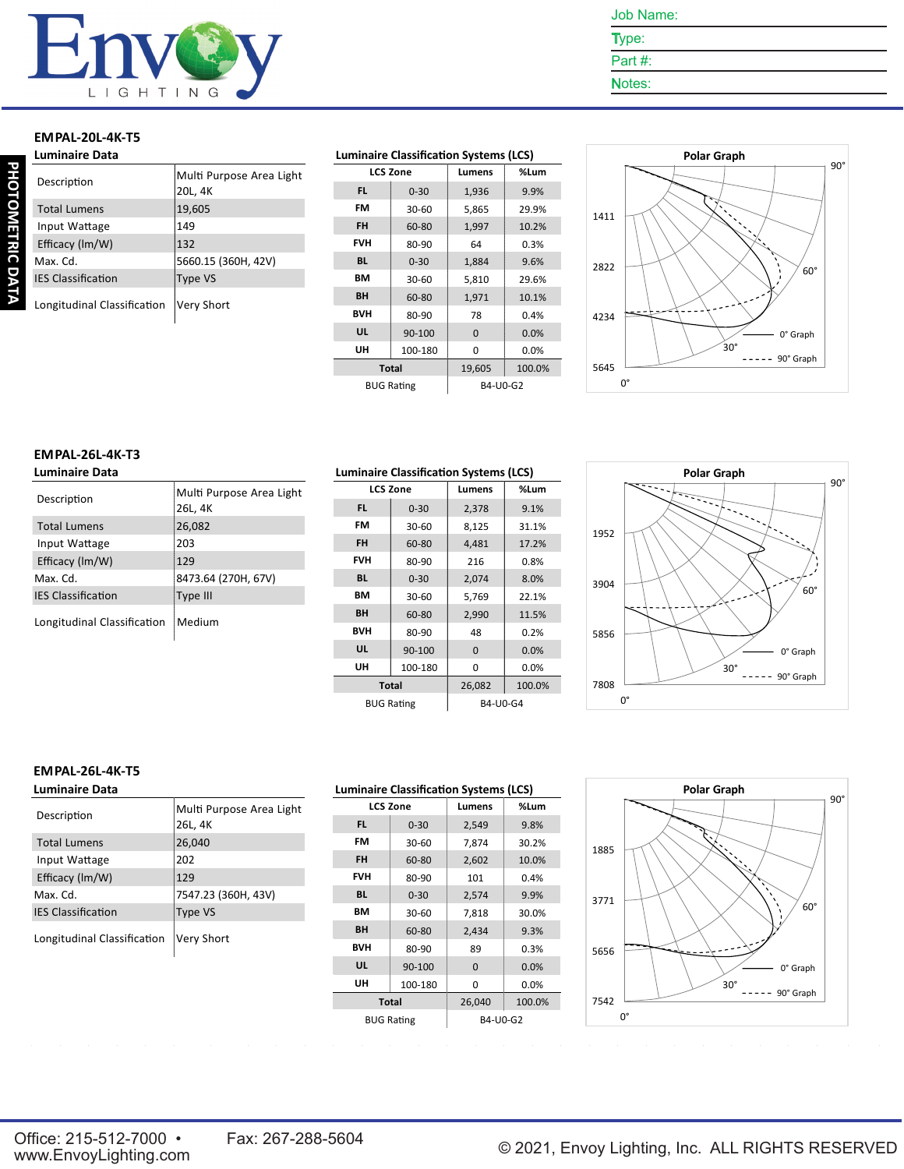

- Type: Part #:
- Notes:

#### **EMPAL-20L-4K-T5**

| <b>Luminaire Data</b>       |                                     |
|-----------------------------|-------------------------------------|
| Description                 | Multi Purpose Area Light<br>20L, 4K |
| <b>Total Lumens</b>         | 19,605                              |
| Input Wattage               | 149                                 |
| Efficacy (Im/W)             | 132                                 |
| Max. Cd.                    | 5660.15 (360H, 42V)                 |
| <b>IES Classification</b>   | Type VS                             |
| Longitudinal Classification | Very Short                          |

#### **Luminaire Classification Systems (LCS)**

| <b>LCS Zone</b>   |          | Lumens   | %Lum   |
|-------------------|----------|----------|--------|
| <b>FL</b>         | $0 - 30$ | 1,936    | 9.9%   |
| FM                | 30-60    | 5,865    | 29.9%  |
| <b>FH</b>         | 60-80    | 1,997    | 10.2%  |
| <b>FVH</b>        | 80-90    | 64       | 0.3%   |
| <b>BL</b>         | $0 - 30$ | 1,884    | 9.6%   |
| BМ                | 30-60    | 5,810    | 29.6%  |
| BH                | 60-80    | 1,971    | 10.1%  |
| BVH               | 80-90    | 78       | 0.4%   |
| UL                | 90-100   | $\Omega$ | 0.0%   |
| UH                | 100-180  | 0        | 0.0%   |
| <b>Total</b>      |          | 19,605   | 100.0% |
| <b>BUG Rating</b> |          | B4-U0-G2 |        |



#### **EMPAL-26L-4K-T3 Luminaire Data**

| Description                 | Multi Purpose Area Light<br>26L, 4K |
|-----------------------------|-------------------------------------|
| <b>Total Lumens</b>         | 26,082                              |
| Input Wattage               | 203                                 |
| Efficacy (Im/W)             | 129                                 |
| Max. Cd.                    | 8473.64 (270H, 67V)                 |
| <b>IES Classification</b>   | Type III                            |
| Longitudinal Classification | Medium                              |

| <b>Luminaire Classification Systems (LCS)</b> |                   |          |         |  |  |  |
|-----------------------------------------------|-------------------|----------|---------|--|--|--|
|                                               | <b>LCS Zone</b>   | Lumens   | %Lum    |  |  |  |
| FL.                                           | $0 - 30$          | 2,378    | 9.1%    |  |  |  |
| FM                                            | 30-60             | 8,125    | 31.1%   |  |  |  |
| <b>FH</b>                                     | 60-80             | 4,481    | 17.2%   |  |  |  |
| <b>FVH</b>                                    | 80-90             | 216      | 0.8%    |  |  |  |
| <b>BL</b>                                     | $0 - 30$          | 2,074    | 8.0%    |  |  |  |
| <b>BM</b>                                     | $30-60$           | 5,769    | 22.1%   |  |  |  |
| <b>BH</b>                                     | 60-80             | 2,990    | 11.5%   |  |  |  |
| <b>BVH</b>                                    | 80-90             | 48       | 0.2%    |  |  |  |
| UL                                            | 90-100            | $\Omega$ | 0.0%    |  |  |  |
| UH                                            | 100-180           | 0        | $0.0\%$ |  |  |  |
|                                               | <b>Total</b>      | 26,082   | 100.0%  |  |  |  |
|                                               | <b>BUG Rating</b> | B4-U0-G4 |         |  |  |  |



#### **EMPAL-26L-4K-T5**

| <b>Luminaire Data</b>       |                                     |
|-----------------------------|-------------------------------------|
| Description                 | Multi Purpose Area Light<br>26L, 4K |
| <b>Total Lumens</b>         | 26,040                              |
| Input Wattage               | 202                                 |
| Efficacy (Im/W)             | 129                                 |
| Max. Cd.                    | 7547.23 (360H, 43V)                 |
| <b>IES Classification</b>   | Type VS                             |
| Longitudinal Classification | Very Short                          |



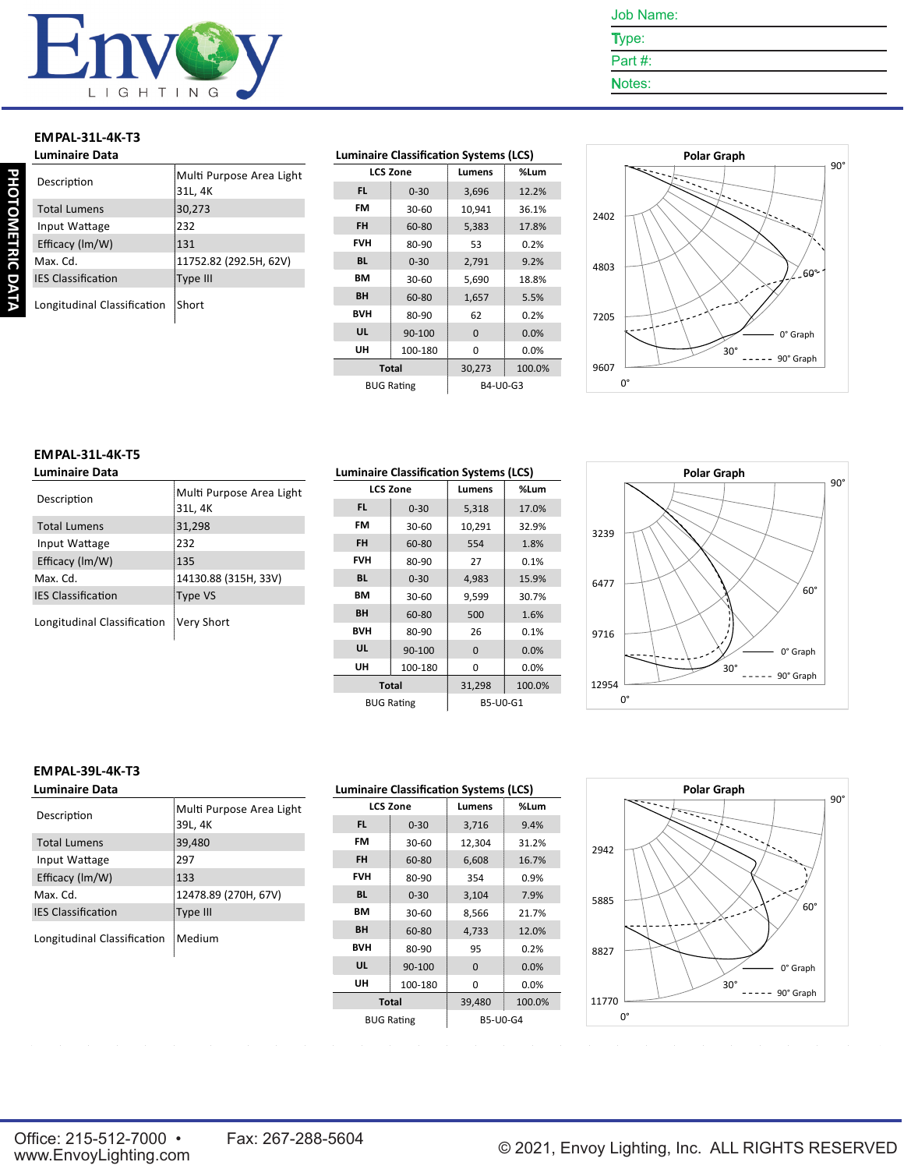

- Type: Part #:
- Notes:

# **EMPAL-31L-4K-T3**

| <b>Luminaire Data</b>       |                                     |
|-----------------------------|-------------------------------------|
| Description                 | Multi Purpose Area Light<br>31L, 4K |
| <b>Total Lumens</b>         | 30,273                              |
| Input Wattage               | 232                                 |
| Efficacy (Im/W)             | 131                                 |
| Max. Cd.                    | 11752.82 (292.5H, 62V)              |
| <b>IES Classification</b>   | Type III                            |
| Longitudinal Classification | Short                               |

#### **Luminaire Classification Systems (LCS)**

| <b>LCS Zone</b> |                   | Lumens   | %Lum   |
|-----------------|-------------------|----------|--------|
| FL.             | $0 - 30$          | 3,696    | 12.2%  |
| FM              | 30-60             | 10,941   | 36.1%  |
| FH              | 60-80             | 5,383    | 17.8%  |
| FVH             | 80-90             | 53       | 0.2%   |
| <b>BL</b>       | $0 - 30$          | 2,791    | 9.2%   |
| BМ              | $30-60$           | 5,690    | 18.8%  |
| <b>BH</b>       | 60-80             | 1,657    | 5.5%   |
| <b>BVH</b>      | 80-90             | 62       | 0.2%   |
| UL              | 90-100            | $\Omega$ | 0.0%   |
| UH              | 100-180           | 0        | 0.0%   |
| <b>Total</b>    |                   | 30,273   | 100.0% |
|                 | <b>BUG Rating</b> | B4-U0-G3 |        |



#### **EMPAL-31L-4K-T5 Luminaire Data**

| Description                 | Multi Purpose Area Light<br>31L, 4K |
|-----------------------------|-------------------------------------|
| <b>Total Lumens</b>         | 31,298                              |
| Input Wattage               | 232                                 |
| Efficacy (Im/W)             | 135                                 |
| Max. Cd.                    | 14130.88 (315H, 33V)                |
| <b>IES Classification</b>   | Type VS                             |
| Longitudinal Classification | Very Short                          |

| <b>Luminaire Classification Systems (LCS)</b> |                   |          |         |
|-----------------------------------------------|-------------------|----------|---------|
|                                               | <b>LCS Zone</b>   | Lumens   | %Lum    |
| FL.                                           | $0 - 30$          | 5,318    | 17.0%   |
| FM                                            | 30-60             | 10,291   | 32.9%   |
| <b>FH</b>                                     | 60-80             | 554      | 1.8%    |
| <b>FVH</b>                                    | 80-90             | 27       | 0.1%    |
| <b>BL</b>                                     | $0 - 30$          | 4,983    | 15.9%   |
| BМ                                            | $30-60$           | 9,599    | 30.7%   |
| <b>BH</b>                                     | 60-80             | 500      | 1.6%    |
| <b>BVH</b>                                    | 80-90             | 26       | 0.1%    |
| UL                                            | 90-100            | $\Omega$ | 0.0%    |
| UH                                            | 100-180           | 0        | $0.0\%$ |
|                                               | <b>Total</b>      | 31,298   | 100.0%  |
|                                               | <b>BUG Rating</b> | B5-U0-G1 |         |



#### **EMPAL-39L-4K-T3**

| <b>Luminaire Data</b>       |                                     |
|-----------------------------|-------------------------------------|
| Description                 | Multi Purpose Area Light<br>39L, 4K |
| <b>Total Lumens</b>         | 39,480                              |
| Input Wattage               | 297                                 |
| Efficacy (Im/W)             | 133                                 |
| Max. Cd.                    | 12478.89 (270H, 67V)                |
| <b>IES Classification</b>   | Type III                            |
| Longitudinal Classification | Medium                              |

| <b>Luminaire Classification Systems (LCS)</b> |                   |                 |        |
|-----------------------------------------------|-------------------|-----------------|--------|
|                                               | <b>LCS Zone</b>   | Lumens          | %Lum   |
| FL.                                           | $0 - 30$          | 3,716           | 9.4%   |
| FM                                            | 30-60             | 12,304          | 31.2%  |
| <b>FH</b>                                     | 60-80             | 6,608           | 16.7%  |
| <b>FVH</b>                                    | 80-90             | 354             | 0.9%   |
| <b>BL</b>                                     | $0 - 30$          | 3,104           | 7.9%   |
| BМ                                            | 30-60             | 8,566           | 21.7%  |
| BH                                            | 60-80             | 4,733           | 12.0%  |
| BVH                                           | 80-90             | 95              | 0.2%   |
| UL                                            | 90-100            | $\Omega$        | 0.0%   |
| UH                                            | 100-180           | 0               | 0.0%   |
| <b>Total</b>                                  |                   | 39,480          | 100.0% |
|                                               | <b>BUG Rating</b> | <b>B5-U0-G4</b> |        |

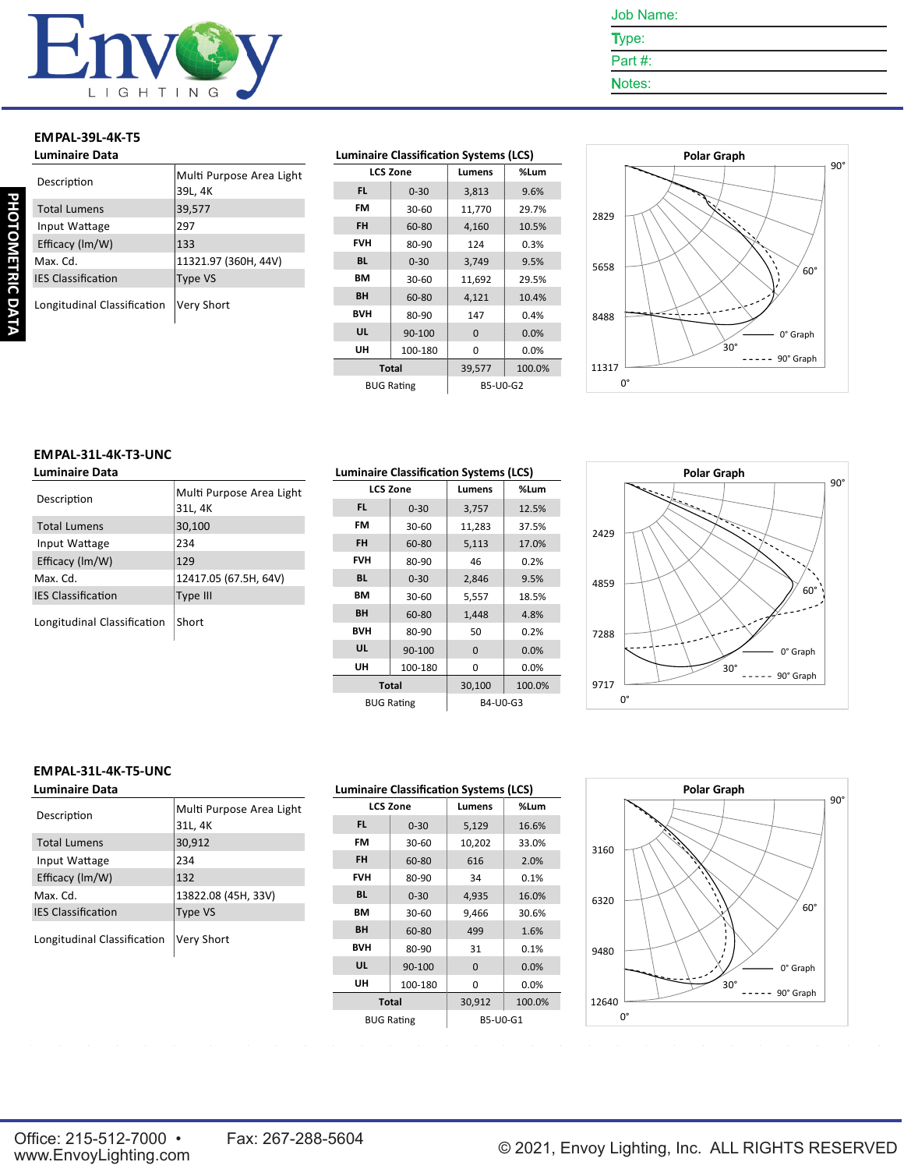

- Type: Part #:
- Notes:

#### **EMPAL-39L-4K-T5 Luminaire Data**

| Luminaire Data              |                                     |
|-----------------------------|-------------------------------------|
| Description                 | Multi Purpose Area Light<br>39L, 4K |
| <b>Total Lumens</b>         | 39,577                              |
| Input Wattage               | 297                                 |
| Efficacy (Im/W)             | 133                                 |
| Max. Cd.                    | 11321.97 (360H, 44V)                |
| <b>IES Classification</b>   | Type VS                             |
| Longitudinal Classification | Very Short                          |

#### **Luminaire Classification Systems (LCS)**

| <b>LCS Zone</b>   |          | Lumens   | %Lum   |
|-------------------|----------|----------|--------|
| <b>FL</b>         | $0 - 30$ | 3,813    | 9.6%   |
| FM                | 30-60    | 11,770   | 29.7%  |
| <b>FH</b>         | 60-80    | 4,160    | 10.5%  |
| <b>FVH</b>        | 80-90    | 124      | 0.3%   |
| <b>BL</b>         | $0 - 30$ | 3,749    | 9.5%   |
| BМ                | 30-60    | 11,692   | 29.5%  |
| BH                | 60-80    | 4,121    | 10.4%  |
| <b>BVH</b>        | 80-90    | 147      | 0.4%   |
| UL                | 90-100   | $\Omega$ | 0.0%   |
| UH                | 100-180  | 0        | 0.0%   |
| <b>Total</b>      |          | 39,577   | 100.0% |
| <b>BUG Rating</b> |          | B5-U0-G2 |        |



#### **EMPAL-31L-4K-T3-UNC Luminaire Data**

| Description                 | Multi Purpose Area Light<br>31L, 4K |
|-----------------------------|-------------------------------------|
| <b>Total Lumens</b>         | 30,100                              |
| Input Wattage               | 234                                 |
| Efficacy (Im/W)             | 129                                 |
| Max. Cd.                    | 12417.05 (67.5H, 64V)               |
| <b>IES Classification</b>   | Type III                            |
| Longitudinal Classification | Short                               |

| <b>Luminaire Classification Systems (LCS)</b> |                   |          |        |
|-----------------------------------------------|-------------------|----------|--------|
|                                               | <b>LCS Zone</b>   | Lumens   | %Lum   |
| FL.                                           | $0 - 30$          | 3,757    | 12.5%  |
| FM                                            | 30-60             | 11,283   | 37.5%  |
| <b>FH</b>                                     | 60-80             | 5,113    | 17.0%  |
| <b>FVH</b>                                    | 80-90             | 46       | 0.2%   |
| <b>BL</b>                                     | $0 - 30$          | 2,846    | 9.5%   |
| BМ                                            | 30-60             | 5,557    | 18.5%  |
| BH                                            | 60-80             | 1,448    | 4.8%   |
| <b>BVH</b>                                    | 80-90             | 50       | 0.2%   |
| UL                                            | 90-100            | $\Omega$ | 0.0%   |
| UH                                            | 100-180           | 0        | 0.0%   |
| Total                                         |                   | 30,100   | 100.0% |
|                                               | <b>BUG Rating</b> | B4-U0-G3 |        |



#### **EMPAL-31L-4K-T5-UNC**

| <b>Luminaire Data</b>       |                                     |
|-----------------------------|-------------------------------------|
| Description                 | Multi Purpose Area Light<br>31L, 4K |
| <b>Total Lumens</b>         | 30,912                              |
| Input Wattage               | 234                                 |
| Efficacy (Im/W)             | 132                                 |
| Max. Cd.                    | 13822.08 (45H, 33V)                 |
| <b>IES Classification</b>   | Type VS                             |
| Longitudinal Classification | Very Short                          |

| <b>Luminaire Classification Systems (LCS)</b> |          |          |        |  |  |
|-----------------------------------------------|----------|----------|--------|--|--|
| <b>LCS Zone</b>                               |          | Lumens   | %Lum   |  |  |
| FL.                                           | $0 - 30$ | 5,129    | 16.6%  |  |  |
| FM                                            | 30-60    | 10,202   | 33.0%  |  |  |
| <b>FH</b>                                     | 60-80    | 616      | 2.0%   |  |  |
| <b>FVH</b>                                    | 80-90    | 34       | 0.1%   |  |  |
| <b>BL</b>                                     | $0 - 30$ | 4,935    | 16.0%  |  |  |
| BМ                                            | $30-60$  | 9,466    | 30.6%  |  |  |
| <b>BH</b>                                     | 60-80    | 499      | 1.6%   |  |  |
| <b>BVH</b>                                    | 80-90    | 31       | 0.1%   |  |  |
| UL                                            | 90-100   | $\Omega$ | 0.0%   |  |  |
| UH                                            | 100-180  | 0        | 0.0%   |  |  |
| <b>Total</b>                                  |          | 30,912   | 100.0% |  |  |
| <b>BUG Rating</b>                             |          | B5-U0-G1 |        |  |  |